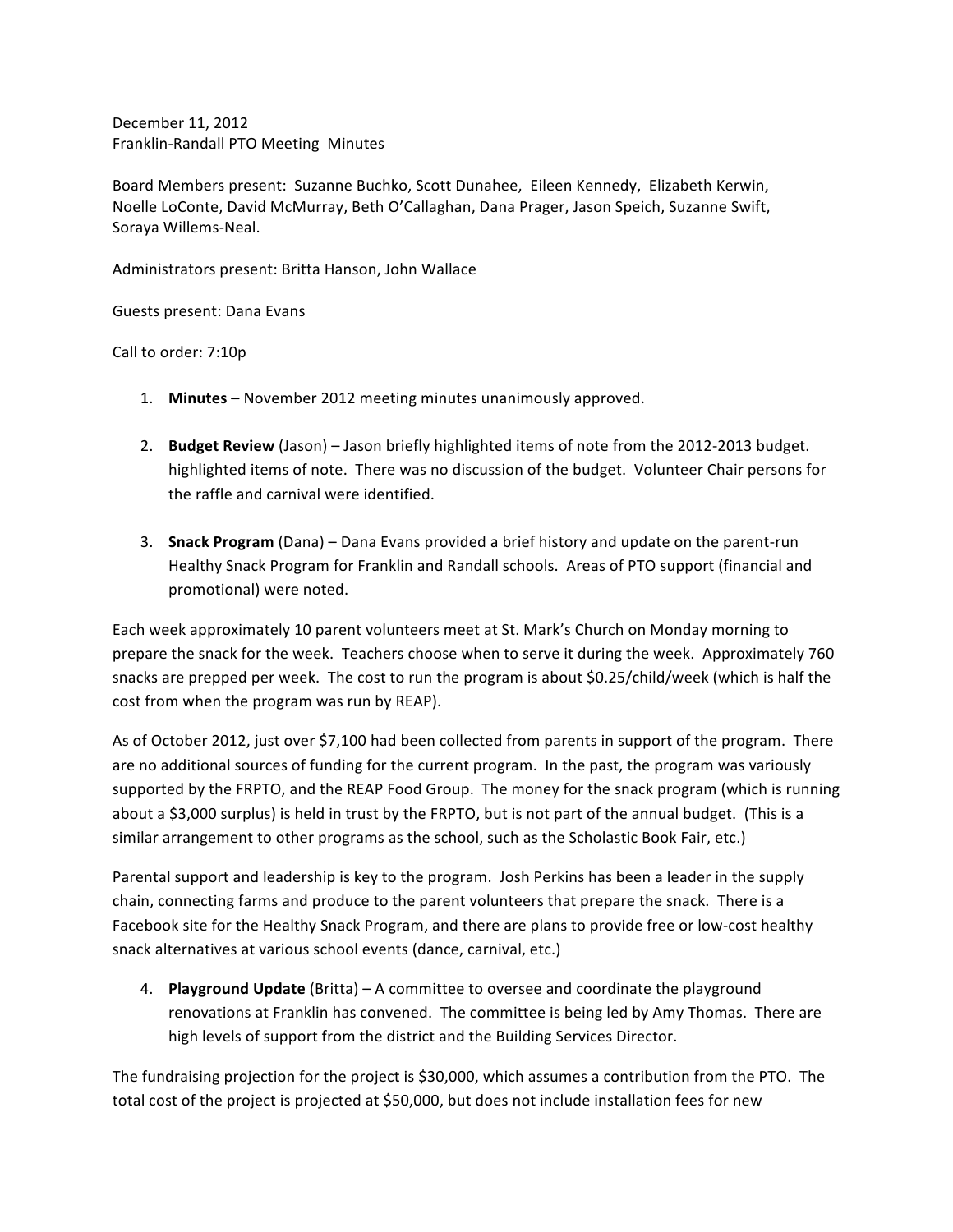December 11, 2012 Franklin-Randall PTO Meeting Minutes

Board Members present: Suzanne Buchko, Scott Dunahee, Eileen Kennedy, Elizabeth Kerwin, Noelle LoConte, David McMurray, Beth O'Callaghan, Dana Prager, Jason Speich, Suzanne Swift, Soraya Willems-Neal.

Administrators present: Britta Hanson, John Wallace

Guests present: Dana Evans

Call to order: 7:10p

- 1. **Minutes** November 2012 meeting minutes unanimously approved.
- 2. **Budget Review** (Jason) Jason briefly highlighted items of note from the 2012-2013 budget. highlighted items of note. There was no discussion of the budget. Volunteer Chair persons for the raffle and carnival were identified.
- 3. **Snack Program** (Dana) Dana Evans provided a brief history and update on the parent-run Healthy Snack Program for Franklin and Randall schools. Areas of PTO support (financial and promotional) were noted.

Each week approximately 10 parent volunteers meet at St. Mark's Church on Monday morning to prepare the snack for the week. Teachers choose when to serve it during the week. Approximately 760 snacks are prepped per week. The cost to run the program is about \$0.25/child/week (which is half the cost from when the program was run by REAP).

As of October 2012, just over \$7,100 had been collected from parents in support of the program. There are no additional sources of funding for the current program. In the past, the program was variously supported by the FRPTO, and the REAP Food Group. The money for the snack program (which is running about a \$3,000 surplus) is held in trust by the FRPTO, but is not part of the annual budget. (This is a similar arrangement to other programs as the school, such as the Scholastic Book Fair, etc.)

Parental support and leadership is key to the program. Josh Perkins has been a leader in the supply chain, connecting farms and produce to the parent volunteers that prepare the snack. There is a Facebook site for the Healthy Snack Program, and there are plans to provide free or low-cost healthy snack alternatives at various school events (dance, carnival, etc.)

4. **Playground Update** (Britta) – A committee to oversee and coordinate the playground renovations at Franklin has convened. The committee is being led by Amy Thomas. There are high levels of support from the district and the Building Services Director.

The fundraising projection for the project is \$30,000, which assumes a contribution from the PTO. The total cost of the project is projected at \$50,000, but does not include installation fees for new